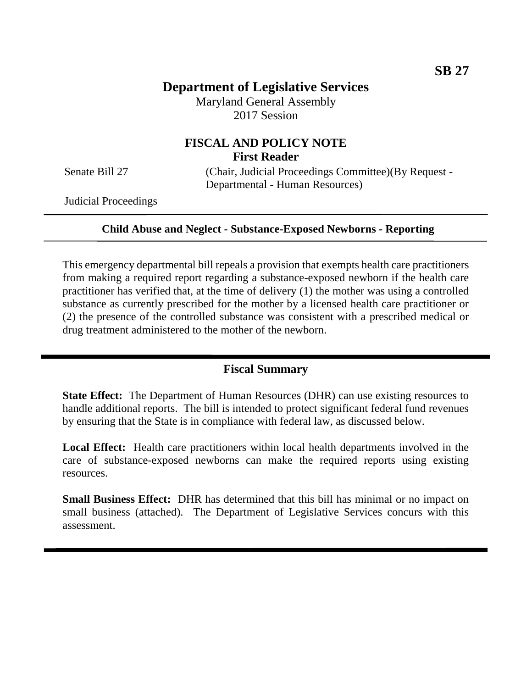# **Department of Legislative Services**

Maryland General Assembly 2017 Session

## **FISCAL AND POLICY NOTE First Reader**

Senate Bill 27 (Chair, Judicial Proceedings Committee)(By Request -Departmental - Human Resources)

Judicial Proceedings

#### **Child Abuse and Neglect - Substance-Exposed Newborns - Reporting**

This emergency departmental bill repeals a provision that exempts health care practitioners from making a required report regarding a substance-exposed newborn if the health care practitioner has verified that, at the time of delivery (1) the mother was using a controlled substance as currently prescribed for the mother by a licensed health care practitioner or (2) the presence of the controlled substance was consistent with a prescribed medical or drug treatment administered to the mother of the newborn.

### **Fiscal Summary**

**State Effect:** The Department of Human Resources (DHR) can use existing resources to handle additional reports. The bill is intended to protect significant federal fund revenues by ensuring that the State is in compliance with federal law, as discussed below.

**Local Effect:** Health care practitioners within local health departments involved in the care of substance-exposed newborns can make the required reports using existing resources.

**Small Business Effect:** DHR has determined that this bill has minimal or no impact on small business (attached). The Department of Legislative Services concurs with this assessment.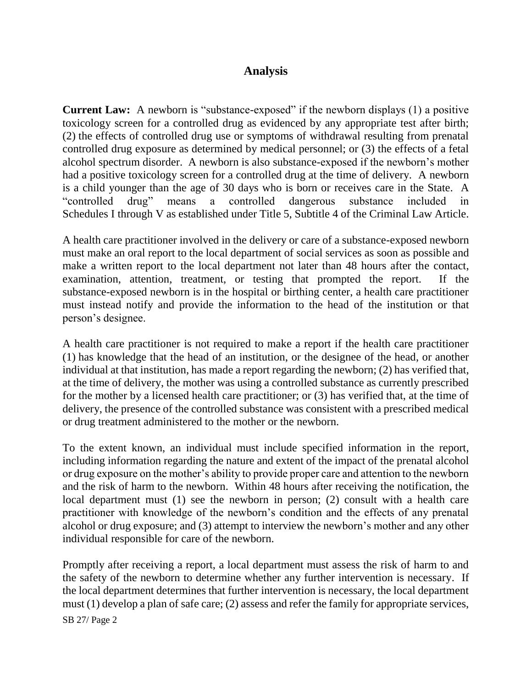## **Analysis**

**Current Law:** A newborn is "substance-exposed" if the newborn displays (1) a positive toxicology screen for a controlled drug as evidenced by any appropriate test after birth; (2) the effects of controlled drug use or symptoms of withdrawal resulting from prenatal controlled drug exposure as determined by medical personnel; or (3) the effects of a fetal alcohol spectrum disorder. A newborn is also substance-exposed if the newborn's mother had a positive toxicology screen for a controlled drug at the time of delivery. A newborn is a child younger than the age of 30 days who is born or receives care in the State. A "controlled drug" means a controlled dangerous substance included in Schedules I through V as established under Title 5, Subtitle 4 of the Criminal Law Article.

A health care practitioner involved in the delivery or care of a substance-exposed newborn must make an oral report to the local department of social services as soon as possible and make a written report to the local department not later than 48 hours after the contact, examination, attention, treatment, or testing that prompted the report. If the substance-exposed newborn is in the hospital or birthing center, a health care practitioner must instead notify and provide the information to the head of the institution or that person's designee.

A health care practitioner is not required to make a report if the health care practitioner (1) has knowledge that the head of an institution, or the designee of the head, or another individual at that institution, has made a report regarding the newborn; (2) has verified that, at the time of delivery, the mother was using a controlled substance as currently prescribed for the mother by a licensed health care practitioner; or (3) has verified that, at the time of delivery, the presence of the controlled substance was consistent with a prescribed medical or drug treatment administered to the mother or the newborn.

To the extent known, an individual must include specified information in the report, including information regarding the nature and extent of the impact of the prenatal alcohol or drug exposure on the mother's ability to provide proper care and attention to the newborn and the risk of harm to the newborn. Within 48 hours after receiving the notification, the local department must (1) see the newborn in person; (2) consult with a health care practitioner with knowledge of the newborn's condition and the effects of any prenatal alcohol or drug exposure; and (3) attempt to interview the newborn's mother and any other individual responsible for care of the newborn.

Promptly after receiving a report, a local department must assess the risk of harm to and the safety of the newborn to determine whether any further intervention is necessary. If the local department determines that further intervention is necessary, the local department must (1) develop a plan of safe care; (2) assess and refer the family for appropriate services,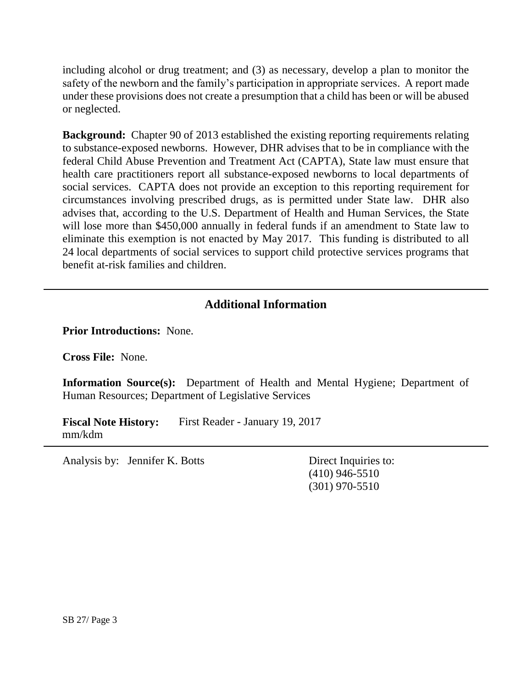including alcohol or drug treatment; and (3) as necessary, develop a plan to monitor the safety of the newborn and the family's participation in appropriate services. A report made under these provisions does not create a presumption that a child has been or will be abused or neglected.

**Background:** Chapter 90 of 2013 established the existing reporting requirements relating to substance-exposed newborns. However, DHR advises that to be in compliance with the federal Child Abuse Prevention and Treatment Act (CAPTA), State law must ensure that health care practitioners report all substance-exposed newborns to local departments of social services. CAPTA does not provide an exception to this reporting requirement for circumstances involving prescribed drugs, as is permitted under State law. DHR also advises that, according to the U.S. Department of Health and Human Services, the State will lose more than \$450,000 annually in federal funds if an amendment to State law to eliminate this exemption is not enacted by May 2017. This funding is distributed to all 24 local departments of social services to support child protective services programs that benefit at-risk families and children.

## **Additional Information**

**Prior Introductions:** None.

**Cross File:** None.

**Information Source(s):** Department of Health and Mental Hygiene; Department of Human Resources; Department of Legislative Services

**Fiscal Note History:** First Reader - January 19, 2017 mm/kdm

Analysis by: Jennifer K. Botts Direct Inquiries to:

(410) 946-5510 (301) 970-5510